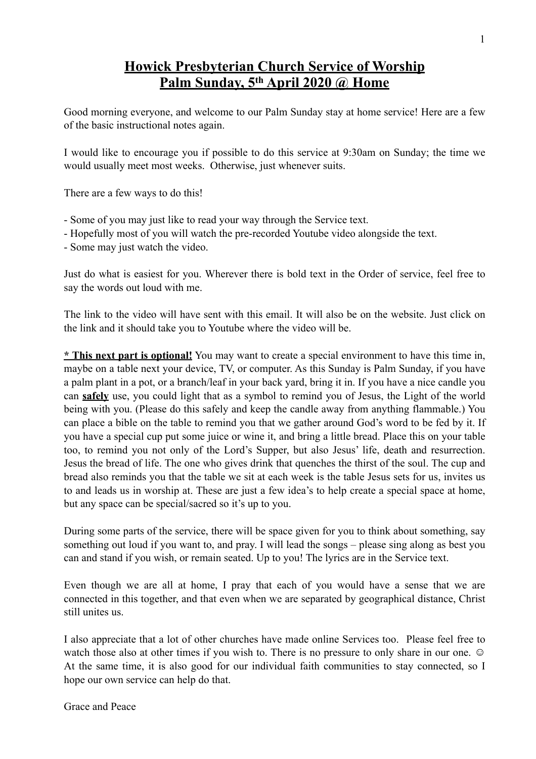# **Howick Presbyterian Church Service of Worship Palm Sunday, 5th April 2020 @ Home**

Good morning everyone, and welcome to our Palm Sunday stay at home service! Here are a few of the basic instructional notes again.

I would like to encourage you if possible to do this service at 9:30am on Sunday; the time we would usually meet most weeks. Otherwise, just whenever suits.

There are a few ways to do this!

- Some of you may just like to read your way through the Service text.
- Hopefully most of you will watch the pre-recorded Youtube video alongside the text.
- Some may just watch the video.

Just do what is easiest for you. Wherever there is bold text in the Order of service, feel free to say the words out loud with me.

The link to the video will have sent with this email. It will also be on the website. Just click on the link and it should take you to Youtube where the video will be.

**\* This next part is optional!** You may want to create a special environment to have this time in, maybe on a table next your device, TV, or computer. As this Sunday is Palm Sunday, if you have a palm plant in a pot, or a branch/leaf in your back yard, bring it in. If you have a nice candle you can **safely** use, you could light that as a symbol to remind you of Jesus, the Light of the world being with you. (Please do this safely and keep the candle away from anything flammable.) You can place a bible on the table to remind you that we gather around God's word to be fed by it. If you have a special cup put some juice or wine it, and bring a little bread. Place this on your table too, to remind you not only of the Lord's Supper, but also Jesus' life, death and resurrection. Jesus the bread of life. The one who gives drink that quenches the thirst of the soul. The cup and bread also reminds you that the table we sit at each week is the table Jesus sets for us, invites us to and leads us in worship at. These are just a few idea's to help create a special space at home, but any space can be special/sacred so it's up to you.

During some parts of the service, there will be space given for you to think about something, say something out loud if you want to, and pray. I will lead the songs – please sing along as best you can and stand if you wish, or remain seated. Up to you! The lyrics are in the Service text.

Even though we are all at home, I pray that each of you would have a sense that we are connected in this together, and that even when we are separated by geographical distance, Christ still unites us.

I also appreciate that a lot of other churches have made online Services too. Please feel free to watch those also at other times if you wish to. There is no pressure to only share in our one.  $\odot$ At the same time, it is also good for our individual faith communities to stay connected, so I hope our own service can help do that.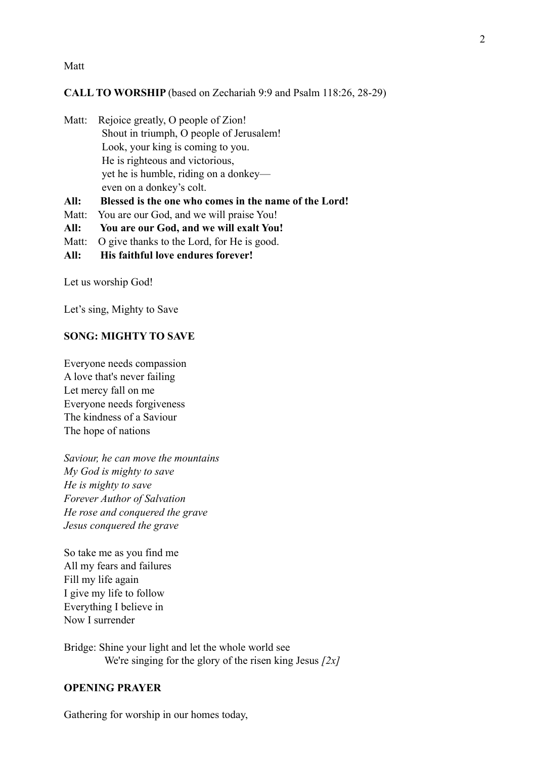## Matt

#### **CALL TO WORSHIP** (based on Zechariah 9:9 and Psalm 118:26, 28-29)

- Matt: Rejoice greatly, O people of Zion! Shout in triumph, O people of Jerusalem! Look, your king is coming to you. He is righteous and victorious, yet he is humble, riding on a donkey even on a donkey's colt.
- **All: Blessed is the one who comes in the name of the Lord!**
- Matt: You are our God, and we will praise You!
- **All: You are our God, and we will exalt You!**
- Matt: O give thanks to the Lord, for He is good.
- **All: His faithful love endures forever!**

Let us worship God!

Let's sing, Mighty to Save

## **SONG: MIGHTY TO SAVE**

Everyone needs compassion A love that's never failing Let mercy fall on me Everyone needs forgiveness The kindness of a Saviour The hope of nations

*Saviour, he can move the mountains My God is mighty to save He is mighty to save Forever Author of Salvation He rose and conquered the grave Jesus conquered the grave*

So take me as you find me All my fears and failures Fill my life again I give my life to follow Everything I believe in Now I surrender

Bridge: Shine your light and let the whole world see We're singing for the glory of the risen king Jesus *[2x]*

# **OPENING PRAYER**

Gathering for worship in our homes today,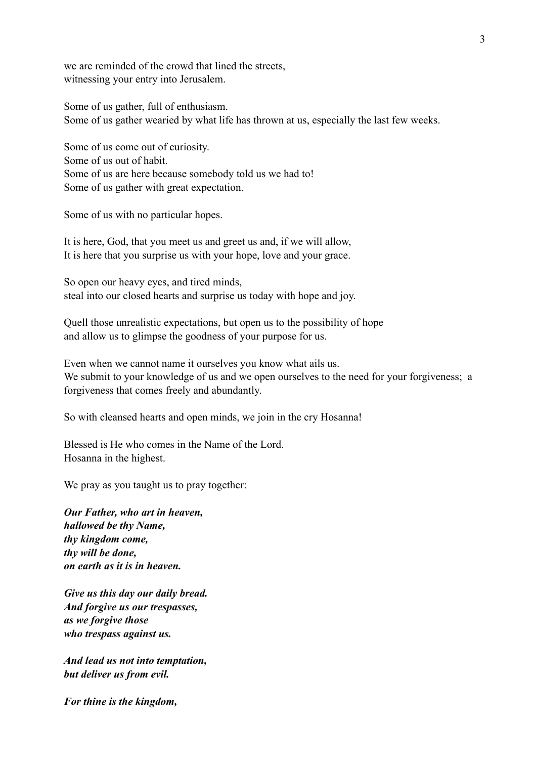we are reminded of the crowd that lined the streets, witnessing your entry into Jerusalem.

Some of us gather, full of enthusiasm. Some of us gather wearied by what life has thrown at us, especially the last few weeks.

Some of us come out of curiosity. Some of us out of habit. Some of us are here because somebody told us we had to! Some of us gather with great expectation.

Some of us with no particular hopes.

It is here, God, that you meet us and greet us and, if we will allow, It is here that you surprise us with your hope, love and your grace.

So open our heavy eyes, and tired minds, steal into our closed hearts and surprise us today with hope and joy.

Quell those unrealistic expectations, but open us to the possibility of hope and allow us to glimpse the goodness of your purpose for us.

Even when we cannot name it ourselves you know what ails us. We submit to your knowledge of us and we open ourselves to the need for your forgiveness; a forgiveness that comes freely and abundantly.

So with cleansed hearts and open minds, we join in the cry Hosanna!

Blessed is He who comes in the Name of the Lord. Hosanna in the highest.

We pray as you taught us to pray together:

*Our Father, who art in heaven, hallowed be thy Name, thy kingdom come, thy will be done, on earth as it is in heaven.* 

*Give us this day our daily bread. And forgive us our trespasses, as we forgive those who trespass against us.* 

*And lead us not into temptation, but deliver us from evil.* 

*For thine is the kingdom,*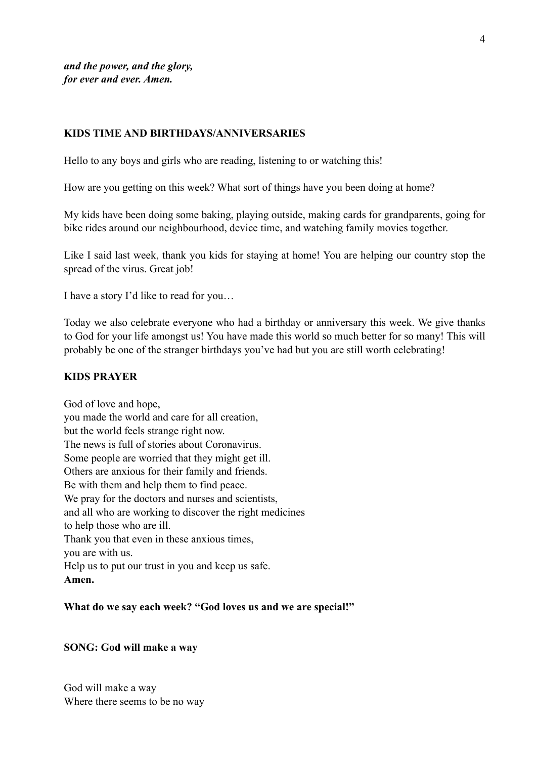*and the power, and the glory, for ever and ever. Amen.*

## **KIDS TIME AND BIRTHDAYS/ANNIVERSARIES**

Hello to any boys and girls who are reading, listening to or watching this!

How are you getting on this week? What sort of things have you been doing at home?

My kids have been doing some baking, playing outside, making cards for grandparents, going for bike rides around our neighbourhood, device time, and watching family movies together.

Like I said last week, thank you kids for staying at home! You are helping our country stop the spread of the virus. Great job!

I have a story I'd like to read for you…

Today we also celebrate everyone who had a birthday or anniversary this week. We give thanks to God for your life amongst us! You have made this world so much better for so many! This will probably be one of the stranger birthdays you've had but you are still worth celebrating!

## **KIDS PRAYER**

God of love and hope, you made the world and care for all creation, but the world feels strange right now. The news is full of stories about Coronavirus. Some people are worried that they might get ill. Others are anxious for their family and friends. Be with them and help them to find peace. We pray for the doctors and nurses and scientists, and all who are working to discover the right medicines to help those who are ill. Thank you that even in these anxious times, you are with us. Help us to put our trust in you and keep us safe. **Amen.**

## **What do we say each week? "God loves us and we are special!"**

#### **SONG: God will make a way**

God will make a way Where there seems to be no way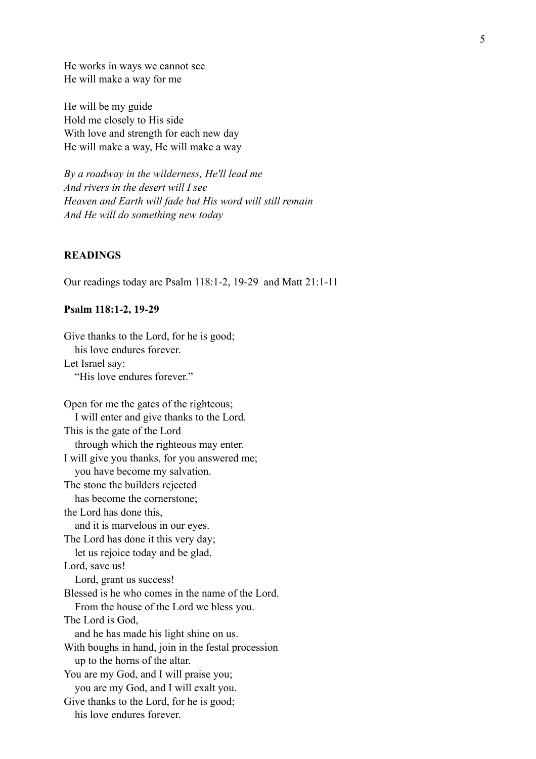He works in ways we cannot see He will make a way for me

He will be my guide Hold me closely to His side With love and strength for each new day He will make a way, He will make a way

*By a roadway in the wilderness, He'll lead me And rivers in the desert will I see Heaven and Earth will fade but His word will still remain And He will do something new today*

## **READINGS**

Our readings today are Psalm 118:1-2, 19-29 and Matt 21:1-11

#### **Psalm 118:1-2, 19-29**

Give thanks to the Lord, for he is good; his love endures forever. Let Israel say: "His love endures forever." Open for me the gates of the righteous; I will enter and give thanks to the Lord. This is the gate of the Lord through which the righteous may enter. I will give you thanks, for you answered me; you have become my salvation. The stone the builders rejected has become the cornerstone; the Lord has done this, and it is marvelous in our eyes. The Lord has done it this very day; let us rejoice today and be glad. Lord, save us! Lord, grant us success! Blessed is he who comes in the name of the Lord. From the house of the Lord we bless you. The Lord is God, and he has made his light shine on us. With boughs in hand, join in the festal procession up to the horns of the altar. You are my God, and I will praise you; you are my God, and I will exalt you. Give thanks to the Lord, for he is good; his love endures forever.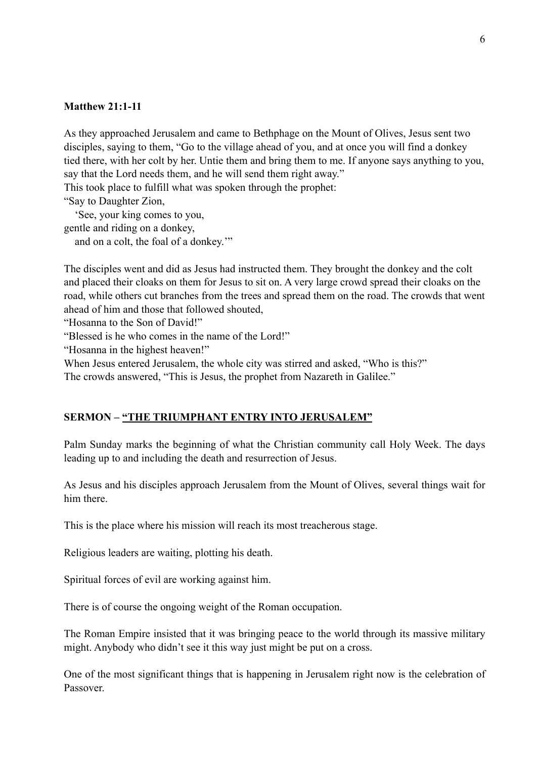#### **Matthew 21:1-11**

As they approached Jerusalem and came to Bethphage on the Mount of Olives, Jesus sent two disciples, saying to them, "Go to the village ahead of you, and at once you will find a donkey tied there, with her colt by her. Untie them and bring them to me. If anyone says anything to you, say that the Lord needs them, and he will send them right away."

This took place to fulfill what was spoken through the prophet:

"Say to Daughter Zion,

'See, your king comes to you,

gentle and riding on a donkey,

and on a colt, the foal of a donkey.'"

The disciples went and did as Jesus had instructed them. They brought the donkey and the colt and placed their cloaks on them for Jesus to sit on. A very large crowd spread their cloaks on the road, while others cut branches from the trees and spread them on the road. The crowds that went ahead of him and those that followed shouted,

"Hosanna to the Son of David!"

"Blessed is he who comes in the name of the Lord!"

"Hosanna in the highest heaven!"

When Jesus entered Jerusalem, the whole city was stirred and asked, "Who is this?" The crowds answered, "This is Jesus, the prophet from Nazareth in Galilee."

## **SERMON – "THE TRIUMPHANT ENTRY INTO JERUSALEM"**

Palm Sunday marks the beginning of what the Christian community call Holy Week. The days leading up to and including the death and resurrection of Jesus.

As Jesus and his disciples approach Jerusalem from the Mount of Olives, several things wait for him there.

This is the place where his mission will reach its most treacherous stage.

Religious leaders are waiting, plotting his death.

Spiritual forces of evil are working against him.

There is of course the ongoing weight of the Roman occupation.

The Roman Empire insisted that it was bringing peace to the world through its massive military might. Anybody who didn't see it this way just might be put on a cross.

One of the most significant things that is happening in Jerusalem right now is the celebration of Passover.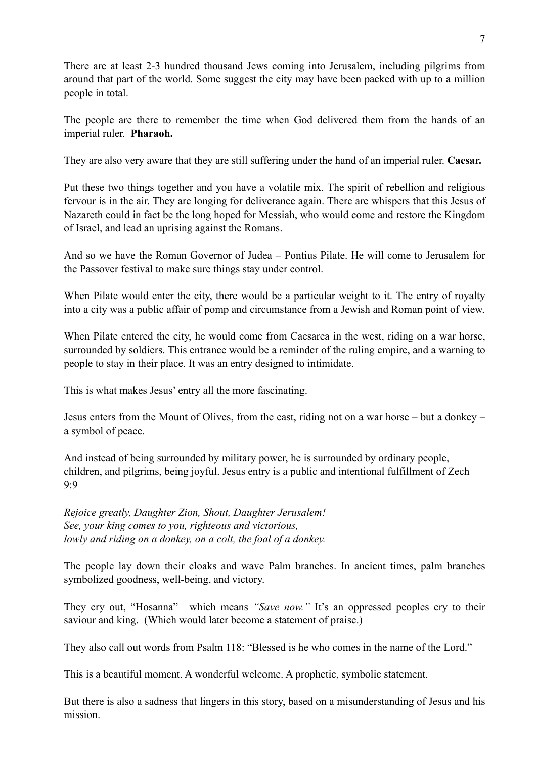There are at least 2-3 hundred thousand Jews coming into Jerusalem, including pilgrims from around that part of the world. Some suggest the city may have been packed with up to a million people in total.

The people are there to remember the time when God delivered them from the hands of an imperial ruler. **Pharaoh.**

They are also very aware that they are still suffering under the hand of an imperial ruler. **Caesar.**

Put these two things together and you have a volatile mix. The spirit of rebellion and religious fervour is in the air. They are longing for deliverance again. There are whispers that this Jesus of Nazareth could in fact be the long hoped for Messiah, who would come and restore the Kingdom of Israel, and lead an uprising against the Romans.

And so we have the Roman Governor of Judea – Pontius Pilate. He will come to Jerusalem for the Passover festival to make sure things stay under control.

When Pilate would enter the city, there would be a particular weight to it. The entry of royalty into a city was a public affair of pomp and circumstance from a Jewish and Roman point of view.

When Pilate entered the city, he would come from Caesarea in the west, riding on a war horse, surrounded by soldiers. This entrance would be a reminder of the ruling empire, and a warning to people to stay in their place. It was an entry designed to intimidate.

This is what makes Jesus' entry all the more fascinating.

Jesus enters from the Mount of Olives, from the east, riding not on a war horse – but a donkey – a symbol of peace.

And instead of being surrounded by military power, he is surrounded by ordinary people, children, and pilgrims, being joyful. Jesus entry is a public and intentional fulfillment of Zech 9:9

*Rejoice greatly, Daughter Zion, Shout, Daughter Jerusalem! See, your king comes to you, righteous and victorious, lowly and riding on a donkey, on a colt, the foal of a donkey.*

The people lay down their cloaks and wave Palm branches. In ancient times, palm branches symbolized goodness, well-being, and victory.

They cry out, "Hosanna" which means *"Save now."* It's an oppressed peoples cry to their saviour and king. (Which would later become a statement of praise.)

They also call out words from Psalm 118: "Blessed is he who comes in the name of the Lord."

This is a beautiful moment. A wonderful welcome. A prophetic, symbolic statement.

But there is also a sadness that lingers in this story, based on a misunderstanding of Jesus and his mission.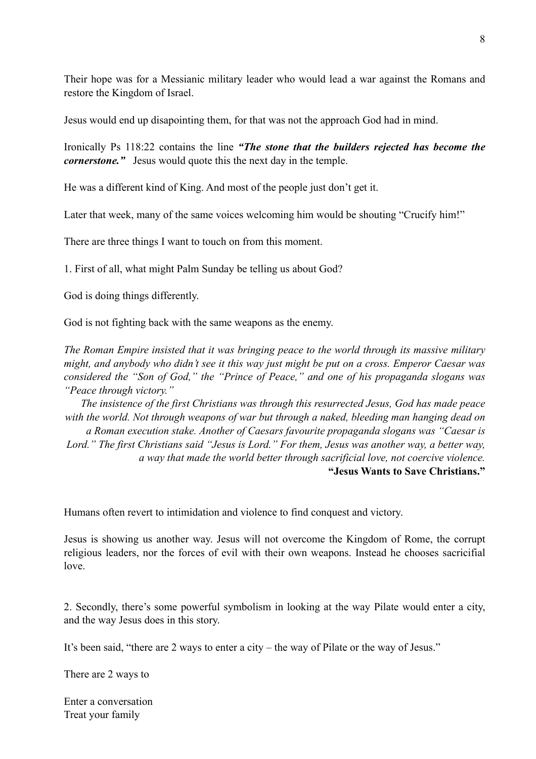Their hope was for a Messianic military leader who would lead a war against the Romans and restore the Kingdom of Israel.

Jesus would end up disapointing them, for that was not the approach God had in mind.

Ironically Ps 118:22 contains the line *"The stone that the builders rejected has become the cornerstone."* Jesus would quote this the next day in the temple.

He was a different kind of King. And most of the people just don't get it.

Later that week, many of the same voices welcoming him would be shouting "Crucify him!"

There are three things I want to touch on from this moment.

1. First of all, what might Palm Sunday be telling us about God?

God is doing things differently.

God is not fighting back with the same weapons as the enemy.

*The Roman Empire insisted that it was bringing peace to the world through its massive military might, and anybody who didn't see it this way just might be put on a cross. Emperor Caesar was considered the "Son of God," the "Prince of Peace," and one of his propaganda slogans was "Peace through victory."*

*The insistence of the first Christians was through this resurrected Jesus, God has made peace with the world. Not through weapons of war but through a naked, bleeding man hanging dead on a Roman execution stake. Another of Caesars favourite propaganda slogans was "Caesar is Lord." The first Christians said "Jesus is Lord." For them, Jesus was another way, a better way, a way that made the world better through sacrificial love, not coercive violence.* **"Jesus Wants to Save Christians."**

Humans often revert to intimidation and violence to find conquest and victory.

Jesus is showing us another way. Jesus will not overcome the Kingdom of Rome, the corrupt religious leaders, nor the forces of evil with their own weapons. Instead he chooses sacricifial love.

2. Secondly, there's some powerful symbolism in looking at the way Pilate would enter a city, and the way Jesus does in this story.

It's been said, "there are 2 ways to enter a city – the way of Pilate or the way of Jesus."

There are 2 ways to

Enter a conversation Treat your family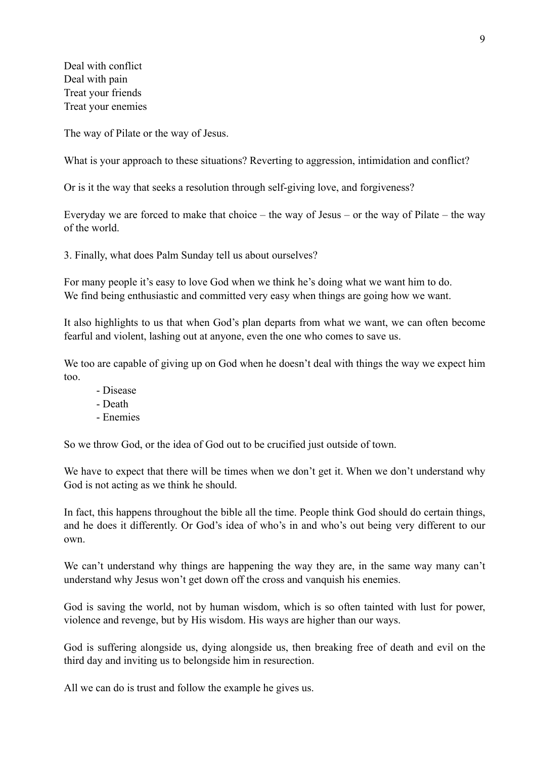Deal with conflict Deal with pain Treat your friends Treat your enemies

The way of Pilate or the way of Jesus.

What is your approach to these situations? Reverting to aggression, intimidation and conflict?

Or is it the way that seeks a resolution through self-giving love, and forgiveness?

Everyday we are forced to make that choice – the way of Jesus – or the way of Pilate – the way of the world.

3. Finally, what does Palm Sunday tell us about ourselves?

For many people it's easy to love God when we think he's doing what we want him to do. We find being enthusiastic and committed very easy when things are going how we want.

It also highlights to us that when God's plan departs from what we want, we can often become fearful and violent, lashing out at anyone, even the one who comes to save us.

We too are capable of giving up on God when he doesn't deal with things the way we expect him too.

- Disease
- Death
- Enemies

So we throw God, or the idea of God out to be crucified just outside of town.

We have to expect that there will be times when we don't get it. When we don't understand why God is not acting as we think he should.

In fact, this happens throughout the bible all the time. People think God should do certain things, and he does it differently. Or God's idea of who's in and who's out being very different to our own.

We can't understand why things are happening the way they are, in the same way many can't understand why Jesus won't get down off the cross and vanquish his enemies.

God is saving the world, not by human wisdom, which is so often tainted with lust for power, violence and revenge, but by His wisdom. His ways are higher than our ways.

God is suffering alongside us, dying alongside us, then breaking free of death and evil on the third day and inviting us to belongside him in resurection.

All we can do is trust and follow the example he gives us.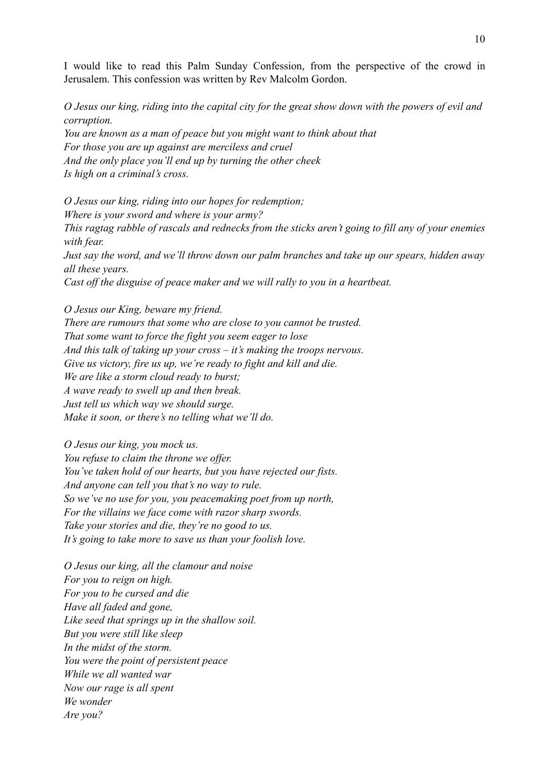I would like to read this Palm Sunday Confession, from the perspective of the crowd in Jerusalem. This confession was written by Rev Malcolm Gordon.

*O Jesus our king, riding into the capital city for the great show down with the powers of evil and corruption.*

*You are known as a man of peace but you might want to think about that For those you are up against are merciless and cruel And the only place you'll end up by turning the other cheek Is high on a criminal's cross.*

*O Jesus our king, riding into our hopes for redemption; Where is your sword and where is your army? This ragtag rabble of rascals and rednecks from the sticks aren't going to fill any of your enemies with fear. Just say the word, and we'll throw down our palm branches* a*nd take up our spears, hidden away all these years. Cast off the disguise of peace maker and we will rally to you in a heartbeat.*

*O Jesus our King, beware my friend. There are rumours that some who are close to you cannot be trusted. That some want to force the fight you seem eager to lose And this talk of taking up your cross* – *it's making the troops nervous. Give us victory, fire us up, we're ready to fight and kill and die. We are like a storm cloud ready to burst; A wave ready to swell up and then break. Just tell us which way we should surge. Make it soon, or there's no telling what we'll do.*

*O Jesus our king, you mock us. You refuse to claim the throne we offer. You've taken hold of our hearts, but you have rejected our fists. And anyone can tell you that's no way to rule. So we've no use for you, you peacemaking poet from up north, For the villains we face come with razor sharp swords. Take your stories and die, they're no good to us. It's going to take more to save us than your foolish love.*

*O Jesus our king, all the clamour and noise For you to reign on high. For you to be cursed and die Have all faded and gone, Like seed that springs up in the shallow soil. But you were still like sleep In the midst of the storm. You were the point of persistent peace While we all wanted war Now our rage is all spent We wonder Are you?*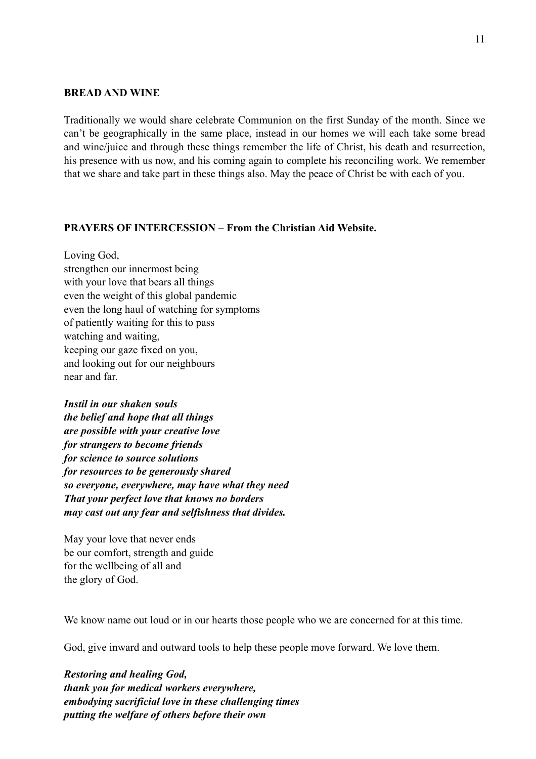#### **BREAD AND WINE**

Traditionally we would share celebrate Communion on the first Sunday of the month. Since we can't be geographically in the same place, instead in our homes we will each take some bread and wine/juice and through these things remember the life of Christ, his death and resurrection, his presence with us now, and his coming again to complete his reconciling work. We remember that we share and take part in these things also. May the peace of Christ be with each of you.

#### **PRAYERS OF INTERCESSION – From the Christian Aid Website.**

Loving God, strengthen our innermost being with your love that bears all things even the weight of this global pandemic even the long haul of watching for symptoms of patiently waiting for this to pass watching and waiting, keeping our gaze fixed on you, and looking out for our neighbours near and far.

*Instil in our shaken souls the belief and hope that all things are possible with your creative love for strangers to become friends for science to source solutions for resources to be generously shared so everyone, everywhere, may have what they need That your perfect love that knows no borders may cast out any fear and selfishness that divides.*

May your love that never ends be our comfort, strength and guide for the wellbeing of all and the glory of God.

We know name out loud or in our hearts those people who we are concerned for at this time.

God, give inward and outward tools to help these people move forward. We love them.

*Restoring and healing God, thank you for medical workers everywhere, embodying sacrificial love in these challenging times putting the welfare of others before their own*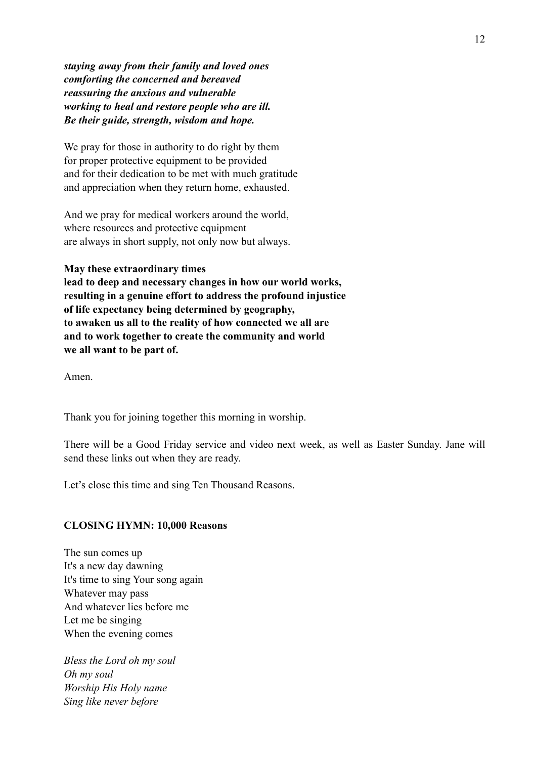*staying away from their family and loved ones comforting the concerned and bereaved reassuring the anxious and vulnerable working to heal and restore people who are ill. Be their guide, strength, wisdom and hope.*

We pray for those in authority to do right by them for proper protective equipment to be provided and for their dedication to be met with much gratitude and appreciation when they return home, exhausted.

And we pray for medical workers around the world, where resources and protective equipment are always in short supply, not only now but always.

**May these extraordinary times**

**lead to deep and necessary changes in how our world works, resulting in a genuine effort to address the profound injustice of life expectancy being determined by geography, to awaken us all to the reality of how connected we all are and to work together to create the community and world we all want to be part of.**

Amen.

Thank you for joining together this morning in worship.

There will be a Good Friday service and video next week, as well as Easter Sunday. Jane will send these links out when they are ready.

Let's close this time and sing Ten Thousand Reasons.

#### **CLOSING HYMN: 10,000 Reasons**

The sun comes up It's a new day dawning It's time to sing Your song again Whatever may pass And whatever lies before me Let me be singing When the evening comes

*Bless the Lord oh my soul Oh my soul Worship His Holy name Sing like never before*